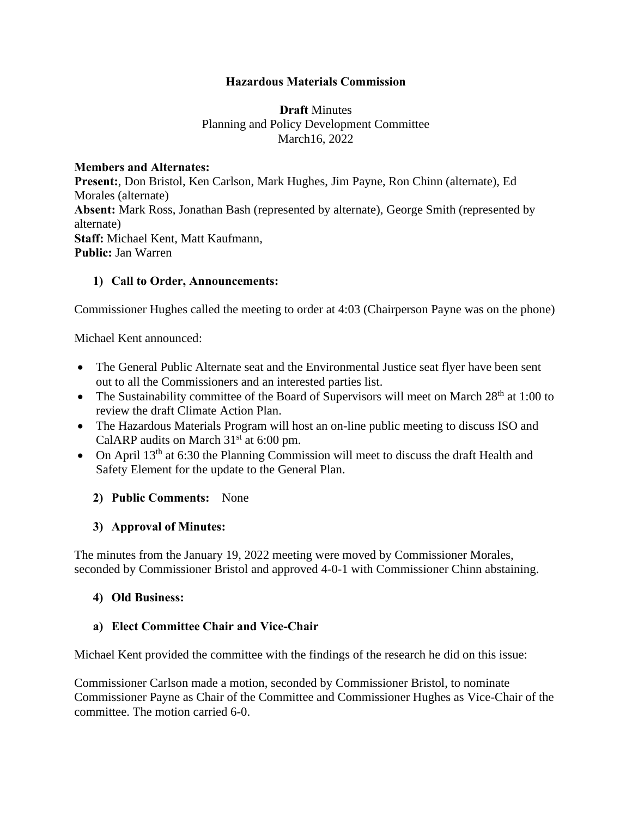### **Hazardous Materials Commission**

### **Draft** Minutes Planning and Policy Development Committee March16, 2022

#### **Members and Alternates:**

**Present:**, Don Bristol, Ken Carlson, Mark Hughes, Jim Payne, Ron Chinn (alternate), Ed Morales (alternate) **Absent:** Mark Ross, Jonathan Bash (represented by alternate), George Smith (represented by alternate) **Staff:** Michael Kent, Matt Kaufmann, **Public:** Jan Warren

### **1) Call to Order, Announcements:**

Commissioner Hughes called the meeting to order at 4:03 (Chairperson Payne was on the phone)

Michael Kent announced:

- The General Public Alternate seat and the Environmental Justice seat flyer have been sent out to all the Commissioners and an interested parties list.
- The Sustainability committee of the Board of Supervisors will meet on March  $28<sup>th</sup>$  at 1:00 to review the draft Climate Action Plan.
- The Hazardous Materials Program will host an on-line public meeting to discuss ISO and CalARP audits on March  $31<sup>st</sup>$  at 6:00 pm.
- On April 13<sup>th</sup> at 6:30 the Planning Commission will meet to discuss the draft Health and Safety Element for the update to the General Plan.

# **2) Public Comments:** None

# **3) Approval of Minutes:**

The minutes from the January 19, 2022 meeting were moved by Commissioner Morales, seconded by Commissioner Bristol and approved 4-0-1 with Commissioner Chinn abstaining.

#### **4) Old Business:**

#### **a) Elect Committee Chair and Vice-Chair**

Michael Kent provided the committee with the findings of the research he did on this issue:

Commissioner Carlson made a motion, seconded by Commissioner Bristol, to nominate Commissioner Payne as Chair of the Committee and Commissioner Hughes as Vice-Chair of the committee. The motion carried 6-0.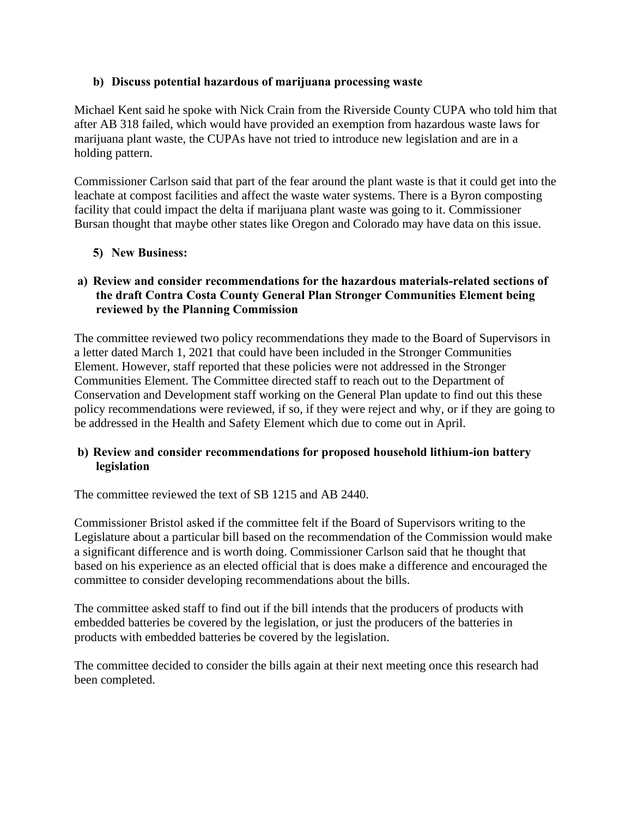# **b) Discuss potential hazardous of marijuana processing waste**

Michael Kent said he spoke with Nick Crain from the Riverside County CUPA who told him that after AB 318 failed, which would have provided an exemption from hazardous waste laws for marijuana plant waste, the CUPAs have not tried to introduce new legislation and are in a holding pattern.

Commissioner Carlson said that part of the fear around the plant waste is that it could get into the leachate at compost facilities and affect the waste water systems. There is a Byron composting facility that could impact the delta if marijuana plant waste was going to it. Commissioner Bursan thought that maybe other states like Oregon and Colorado may have data on this issue.

# **5) New Business:**

# **a) Review and consider recommendations for the hazardous materials-related sections of the draft Contra Costa County General Plan Stronger Communities Element being reviewed by the Planning Commission**

The committee reviewed two policy recommendations they made to the Board of Supervisors in a letter dated March 1, 2021 that could have been included in the Stronger Communities Element. However, staff reported that these policies were not addressed in the Stronger Communities Element. The Committee directed staff to reach out to the Department of Conservation and Development staff working on the General Plan update to find out this these policy recommendations were reviewed, if so, if they were reject and why, or if they are going to be addressed in the Health and Safety Element which due to come out in April.

# **b) Review and consider recommendations for proposed household lithium-ion battery legislation**

The committee reviewed the text of SB 1215 and AB 2440.

Commissioner Bristol asked if the committee felt if the Board of Supervisors writing to the Legislature about a particular bill based on the recommendation of the Commission would make a significant difference and is worth doing. Commissioner Carlson said that he thought that based on his experience as an elected official that is does make a difference and encouraged the committee to consider developing recommendations about the bills.

The committee asked staff to find out if the bill intends that the producers of products with embedded batteries be covered by the legislation, or just the producers of the batteries in products with embedded batteries be covered by the legislation.

The committee decided to consider the bills again at their next meeting once this research had been completed.